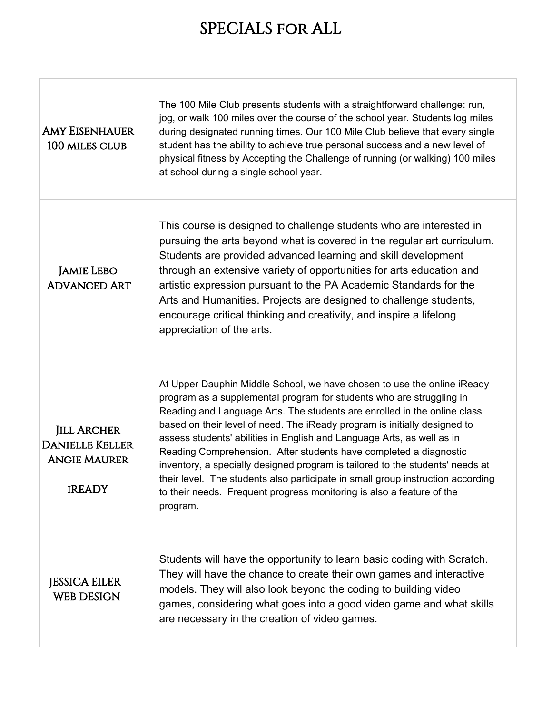## SPECIALS for ALL

| <b>AMY EISENHAUER</b><br>100 MILES CLUB                                              | The 100 Mile Club presents students with a straightforward challenge: run,<br>jog, or walk 100 miles over the course of the school year. Students log miles<br>during designated running times. Our 100 Mile Club believe that every single<br>student has the ability to achieve true personal success and a new level of<br>physical fitness by Accepting the Challenge of running (or walking) 100 miles<br>at school during a single school year.                                                                                                                                                                                                                                                            |
|--------------------------------------------------------------------------------------|------------------------------------------------------------------------------------------------------------------------------------------------------------------------------------------------------------------------------------------------------------------------------------------------------------------------------------------------------------------------------------------------------------------------------------------------------------------------------------------------------------------------------------------------------------------------------------------------------------------------------------------------------------------------------------------------------------------|
| <b>JAMIE LEBO</b><br><b>ADVANCED ART</b>                                             | This course is designed to challenge students who are interested in<br>pursuing the arts beyond what is covered in the regular art curriculum.<br>Students are provided advanced learning and skill development<br>through an extensive variety of opportunities for arts education and<br>artistic expression pursuant to the PA Academic Standards for the<br>Arts and Humanities. Projects are designed to challenge students,<br>encourage critical thinking and creativity, and inspire a lifelong<br>appreciation of the arts.                                                                                                                                                                             |
| <b>JILL ARCHER</b><br><b>DANIELLE KELLER</b><br><b>ANGIE MAURER</b><br><b>IREADY</b> | At Upper Dauphin Middle School, we have chosen to use the online iReady<br>program as a supplemental program for students who are struggling in<br>Reading and Language Arts. The students are enrolled in the online class<br>based on their level of need. The iReady program is initially designed to<br>assess students' abilities in English and Language Arts, as well as in<br>Reading Comprehension. After students have completed a diagnostic<br>inventory, a specially designed program is tailored to the students' needs at<br>their level. The students also participate in small group instruction according<br>to their needs. Frequent progress monitoring is also a feature of the<br>program. |
| <b>JESSICA EILER</b><br><b>WEB DESIGN</b>                                            | Students will have the opportunity to learn basic coding with Scratch.<br>They will have the chance to create their own games and interactive<br>models. They will also look beyond the coding to building video<br>games, considering what goes into a good video game and what skills<br>are necessary in the creation of video games.                                                                                                                                                                                                                                                                                                                                                                         |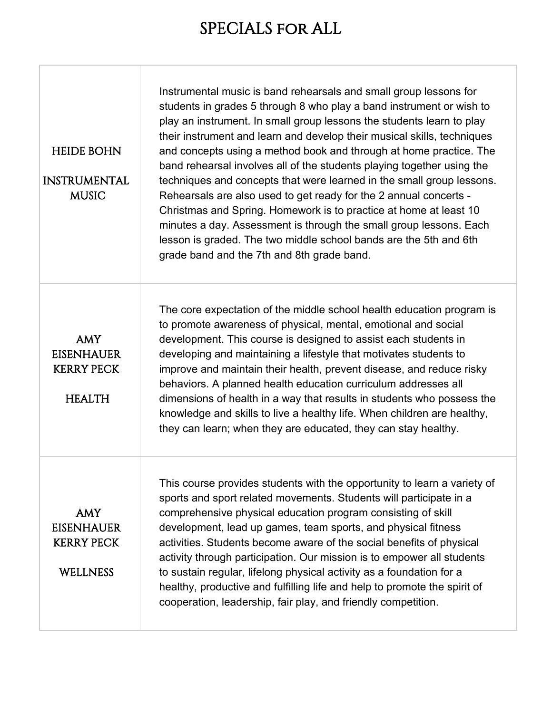## SPECIALS for ALL

| <b>HEIDE BOHN</b><br><b>INSTRUMENTAL</b><br><b>MUSIC</b>                | Instrumental music is band rehearsals and small group lessons for<br>students in grades 5 through 8 who play a band instrument or wish to<br>play an instrument. In small group lessons the students learn to play<br>their instrument and learn and develop their musical skills, techniques<br>and concepts using a method book and through at home practice. The<br>band rehearsal involves all of the students playing together using the<br>techniques and concepts that were learned in the small group lessons.<br>Rehearsals are also used to get ready for the 2 annual concerts -<br>Christmas and Spring. Homework is to practice at home at least 10<br>minutes a day. Assessment is through the small group lessons. Each<br>lesson is graded. The two middle school bands are the 5th and 6th<br>grade band and the 7th and 8th grade band. |
|-------------------------------------------------------------------------|-----------------------------------------------------------------------------------------------------------------------------------------------------------------------------------------------------------------------------------------------------------------------------------------------------------------------------------------------------------------------------------------------------------------------------------------------------------------------------------------------------------------------------------------------------------------------------------------------------------------------------------------------------------------------------------------------------------------------------------------------------------------------------------------------------------------------------------------------------------|
| <b>AMY</b><br><b>EISENHAUER</b><br><b>KERRY PECK</b><br><b>HEALTH</b>   | The core expectation of the middle school health education program is<br>to promote awareness of physical, mental, emotional and social<br>development. This course is designed to assist each students in<br>developing and maintaining a lifestyle that motivates students to<br>improve and maintain their health, prevent disease, and reduce risky<br>behaviors. A planned health education curriculum addresses all<br>dimensions of health in a way that results in students who possess the<br>knowledge and skills to live a healthy life. When children are healthy,<br>they can learn; when they are educated, they can stay healthy.                                                                                                                                                                                                          |
| <b>AMY</b><br><b>EISENHAUER</b><br><b>KERRY PECK</b><br><b>WELLNESS</b> | This course provides students with the opportunity to learn a variety of<br>sports and sport related movements. Students will participate in a<br>comprehensive physical education program consisting of skill<br>development, lead up games, team sports, and physical fitness<br>activities. Students become aware of the social benefits of physical<br>activity through participation. Our mission is to empower all students<br>to sustain regular, lifelong physical activity as a foundation for a<br>healthy, productive and fulfilling life and help to promote the spirit of<br>cooperation, leadership, fair play, and friendly competition.                                                                                                                                                                                                   |